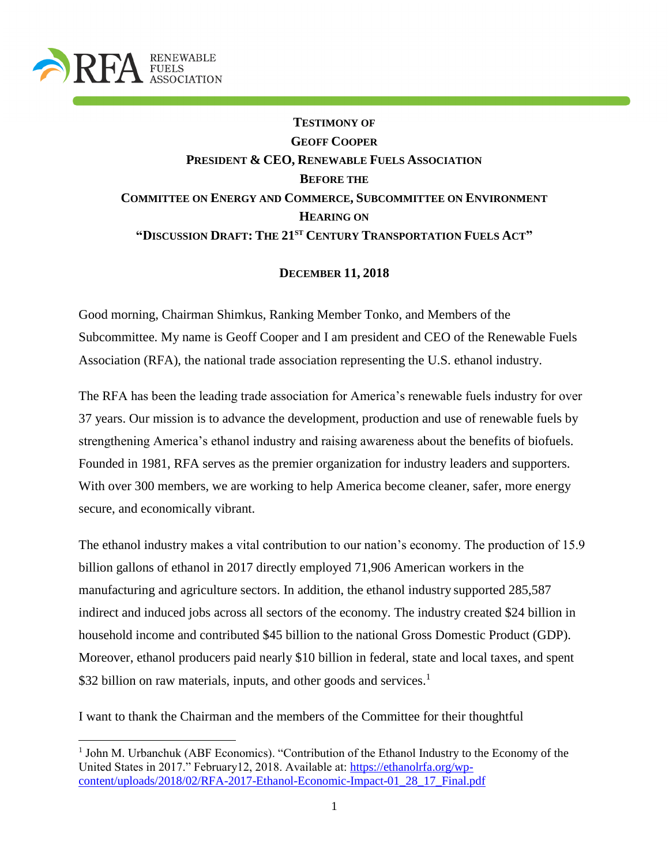

 $\overline{\phantom{a}}$ 

# **TESTIMONY OF GEOFF COOPER PRESIDENT & CEO, RENEWABLE FUELS ASSOCIATION BEFORE THE COMMITTEE ON ENERGY AND COMMERCE, SUBCOMMITTEE ON ENVIRONMENT HEARING ON "DISCUSSION DRAFT: THE 21ST CENTURY TRANSPORTATION FUELS ACT"**

### **DECEMBER 11, 2018**

Good morning, Chairman Shimkus, Ranking Member Tonko, and Members of the Subcommittee. My name is Geoff Cooper and I am president and CEO of the Renewable Fuels Association (RFA), the national trade association representing the U.S. ethanol industry.

The RFA has been the leading trade association for America's renewable fuels industry for over 37 years. Our mission is to advance the development, production and use of renewable fuels by strengthening America's ethanol industry and raising awareness about the benefits of biofuels. Founded in 1981, RFA serves as the premier organization for industry leaders and supporters. With over 300 members, we are working to help America become cleaner, safer, more energy secure, and economically vibrant.

The ethanol industry makes a vital contribution to our nation's economy. The production of 15.9 billion gallons of ethanol in 2017 directly employed 71,906 American workers in the manufacturing and agriculture sectors. In addition, the ethanol industry supported 285,587 indirect and induced jobs across all sectors of the economy. The industry created \$24 billion in household income and contributed \$45 billion to the national Gross Domestic Product (GDP). Moreover, ethanol producers paid nearly \$10 billion in federal, state and local taxes, and spent \$32 billion on raw materials, inputs, and other goods and services.<sup>1</sup>

I want to thank the Chairman and the members of the Committee for their thoughtful

<sup>&</sup>lt;sup>1</sup> John M. Urbanchuk (ABF Economics). "Contribution of the Ethanol Industry to the Economy of the United States in 2017." February12, 2018. Available at: [https://ethanolrfa.org/wp](https://ethanolrfa.org/wp-content/uploads/2018/02/RFA-2017-Ethanol-Economic-Impact-01_28_17_Final.pdf)[content/uploads/2018/02/RFA-2017-Ethanol-Economic-Impact-01\\_28\\_17\\_Final.pdf](https://ethanolrfa.org/wp-content/uploads/2018/02/RFA-2017-Ethanol-Economic-Impact-01_28_17_Final.pdf)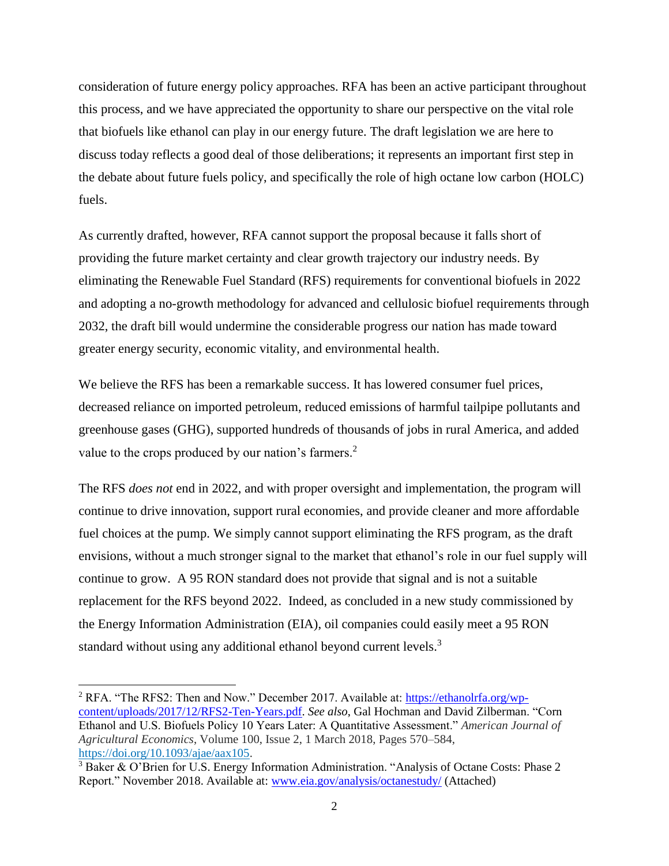consideration of future energy policy approaches. RFA has been an active participant throughout this process, and we have appreciated the opportunity to share our perspective on the vital role that biofuels like ethanol can play in our energy future. The draft legislation we are here to discuss today reflects a good deal of those deliberations; it represents an important first step in the debate about future fuels policy, and specifically the role of high octane low carbon (HOLC) fuels.

As currently drafted, however, RFA cannot support the proposal because it falls short of providing the future market certainty and clear growth trajectory our industry needs. By eliminating the Renewable Fuel Standard (RFS) requirements for conventional biofuels in 2022 and adopting a no-growth methodology for advanced and cellulosic biofuel requirements through 2032, the draft bill would undermine the considerable progress our nation has made toward greater energy security, economic vitality, and environmental health.

We believe the RFS has been a remarkable success. It has lowered consumer fuel prices, decreased reliance on imported petroleum, reduced emissions of harmful tailpipe pollutants and greenhouse gases (GHG), supported hundreds of thousands of jobs in rural America, and added value to the crops produced by our nation's farmers.<sup>2</sup>

The RFS *does not* end in 2022, and with proper oversight and implementation, the program will continue to drive innovation, support rural economies, and provide cleaner and more affordable fuel choices at the pump. We simply cannot support eliminating the RFS program, as the draft envisions, without a much stronger signal to the market that ethanol's role in our fuel supply will continue to grow. A 95 RON standard does not provide that signal and is not a suitable replacement for the RFS beyond 2022. Indeed, as concluded in a new study commissioned by the Energy Information Administration (EIA), oil companies could easily meet a 95 RON standard without using any additional ethanol beyond current levels.<sup>3</sup>

l

<sup>&</sup>lt;sup>2</sup> RFA. "The RFS2: Then and Now." December 2017. Available at: [https://ethanolrfa.org/wp](https://ethanolrfa.org/wp-content/uploads/2017/12/RFS2-Ten-Years.pdf)[content/uploads/2017/12/RFS2-Ten-Years.pdf.](https://ethanolrfa.org/wp-content/uploads/2017/12/RFS2-Ten-Years.pdf) *See also*, Gal Hochman and David Zilberman. "Corn Ethanol and U.S. Biofuels Policy 10 Years Later: A Quantitative Assessment." *American Journal of Agricultural Economics*, Volume 100, Issue 2, 1 March 2018, Pages 570–584, [https://doi.org/10.1093/ajae/aax105.](https://doi.org/10.1093/ajae/aax105)

<sup>3</sup> Baker & O'Brien for U.S. Energy Information Administration. "Analysis of Octane Costs: Phase 2 Report." November 2018. Available at: [www.eia.gov/analysis/octanestudy/](http://www.eia.gov/analysis/octanestudy/) (Attached)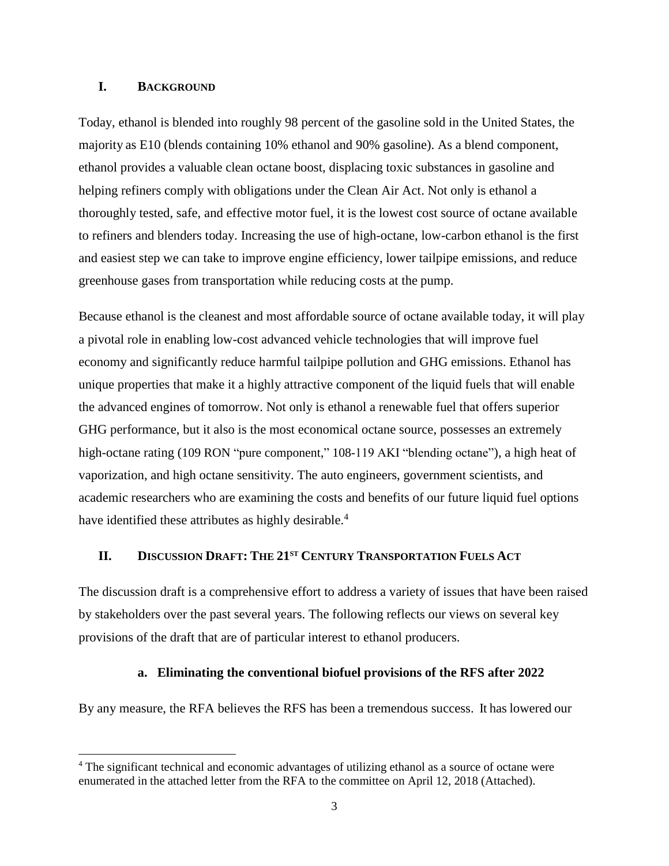### **I. BACKGROUND**

 $\overline{a}$ 

Today, ethanol is blended into roughly 98 percent of the gasoline sold in the United States, the majority as E10 (blends containing 10% ethanol and 90% gasoline). As a blend component, ethanol provides a valuable clean octane boost, displacing toxic substances in gasoline and helping refiners comply with obligations under the Clean Air Act. Not only is ethanol a thoroughly tested, safe, and effective motor fuel, it is the lowest cost source of octane available to refiners and blenders today. Increasing the use of high-octane, low-carbon ethanol is the first and easiest step we can take to improve engine efficiency, lower tailpipe emissions, and reduce greenhouse gases from transportation while reducing costs at the pump.

Because ethanol is the cleanest and most affordable source of octane available today, it will play a pivotal role in enabling low-cost advanced vehicle technologies that will improve fuel economy and significantly reduce harmful tailpipe pollution and GHG emissions. Ethanol has unique properties that make it a highly attractive component of the liquid fuels that will enable the advanced engines of tomorrow. Not only is ethanol a renewable fuel that offers superior GHG performance, but it also is the most economical octane source, possesses an extremely high-octane rating (109 RON "pure component," 108-119 AKI "blending octane"), a high heat of vaporization, and high octane sensitivity. The auto engineers, government scientists, and academic researchers who are examining the costs and benefits of our future liquid fuel options have identified these attributes as highly desirable.<sup>4</sup>

### **II. DISCUSSION DRAFT: THE 21ST CENTURY TRANSPORTATION FUELS ACT**

The discussion draft is a comprehensive effort to address a variety of issues that have been raised by stakeholders over the past several years. The following reflects our views on several key provisions of the draft that are of particular interest to ethanol producers.

#### **a. Eliminating the conventional biofuel provisions of the RFS after 2022**

By any measure, the RFA believes the RFS has been a tremendous success. It has lowered our

<sup>&</sup>lt;sup>4</sup> The significant technical and economic advantages of utilizing ethanol as a source of octane were enumerated in the attached letter from the RFA to the committee on April 12, 2018 (Attached).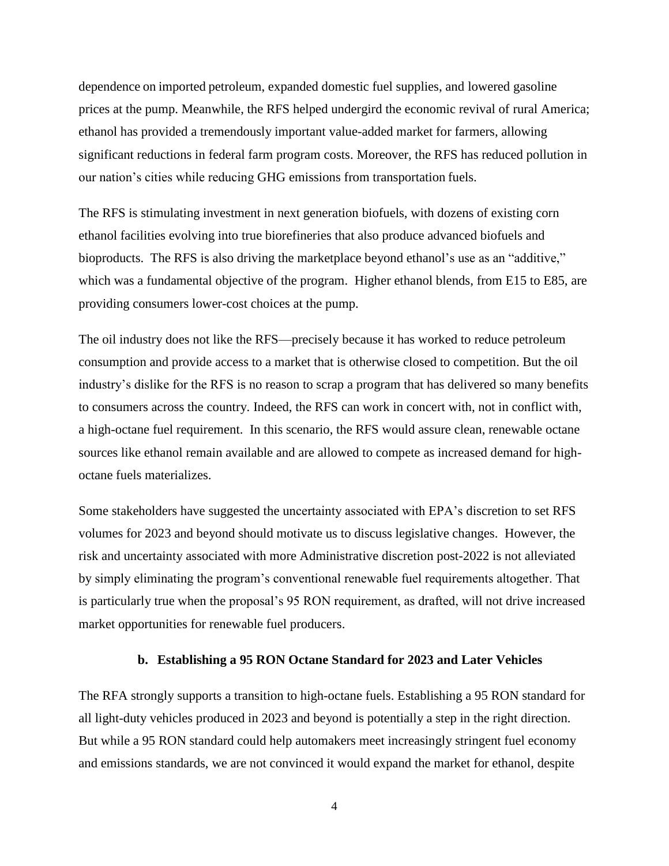dependence on imported petroleum, expanded domestic fuel supplies, and lowered gasoline prices at the pump. Meanwhile, the RFS helped undergird the economic revival of rural America; ethanol has provided a tremendously important value-added market for farmers, allowing significant reductions in federal farm program costs. Moreover, the RFS has reduced pollution in our nation's cities while reducing GHG emissions from transportation fuels.

The RFS is stimulating investment in next generation biofuels, with dozens of existing corn ethanol facilities evolving into true biorefineries that also produce advanced biofuels and bioproducts. The RFS is also driving the marketplace beyond ethanol's use as an "additive," which was a fundamental objective of the program. Higher ethanol blends, from E15 to E85, are providing consumers lower-cost choices at the pump.

The oil industry does not like the RFS—precisely because it has worked to reduce petroleum consumption and provide access to a market that is otherwise closed to competition. But the oil industry's dislike for the RFS is no reason to scrap a program that has delivered so many benefits to consumers across the country. Indeed, the RFS can work in concert with, not in conflict with, a high-octane fuel requirement. In this scenario, the RFS would assure clean, renewable octane sources like ethanol remain available and are allowed to compete as increased demand for highoctane fuels materializes.

Some stakeholders have suggested the uncertainty associated with EPA's discretion to set RFS volumes for 2023 and beyond should motivate us to discuss legislative changes. However, the risk and uncertainty associated with more Administrative discretion post-2022 is not alleviated by simply eliminating the program's conventional renewable fuel requirements altogether. That is particularly true when the proposal's 95 RON requirement, as drafted, will not drive increased market opportunities for renewable fuel producers.

#### **b. Establishing a 95 RON Octane Standard for 2023 and Later Vehicles**

The RFA strongly supports a transition to high-octane fuels. Establishing a 95 RON standard for all light-duty vehicles produced in 2023 and beyond is potentially a step in the right direction. But while a 95 RON standard could help automakers meet increasingly stringent fuel economy and emissions standards, we are not convinced it would expand the market for ethanol, despite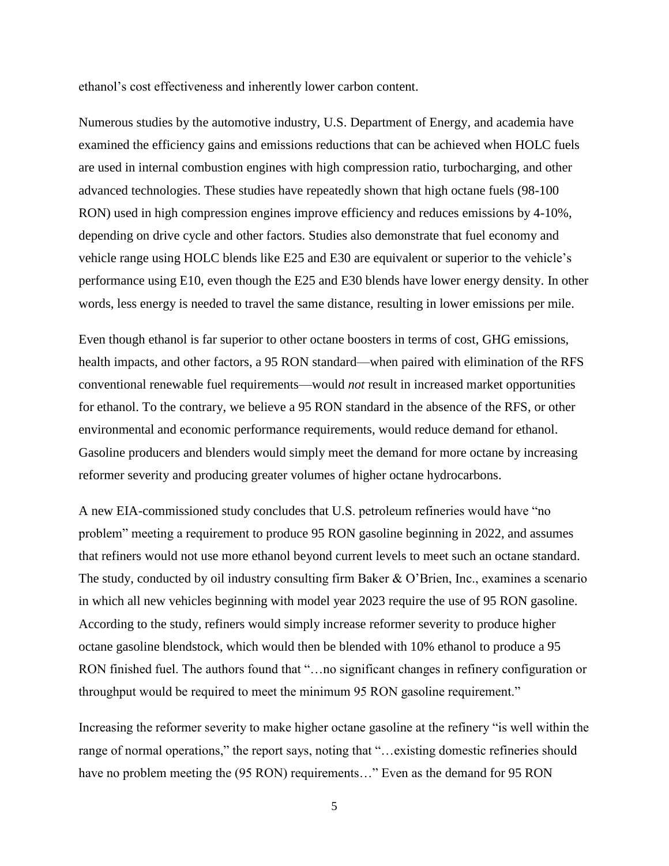ethanol's cost effectiveness and inherently lower carbon content.

Numerous studies by the automotive industry, U.S. Department of Energy, and academia have examined the efficiency gains and emissions reductions that can be achieved when HOLC fuels are used in internal combustion engines with high compression ratio, turbocharging, and other advanced technologies. These studies have repeatedly shown that high octane fuels (98-100 RON) used in high compression engines improve efficiency and reduces emissions by 4-10%, depending on drive cycle and other factors. Studies also demonstrate that fuel economy and vehicle range using HOLC blends like E25 and E30 are equivalent or superior to the vehicle's performance using E10, even though the E25 and E30 blends have lower energy density. In other words, less energy is needed to travel the same distance, resulting in lower emissions per mile.

Even though ethanol is far superior to other octane boosters in terms of cost, GHG emissions, health impacts, and other factors, a 95 RON standard—when paired with elimination of the RFS conventional renewable fuel requirements—would *not* result in increased market opportunities for ethanol. To the contrary, we believe a 95 RON standard in the absence of the RFS, or other environmental and economic performance requirements, would reduce demand for ethanol. Gasoline producers and blenders would simply meet the demand for more octane by increasing reformer severity and producing greater volumes of higher octane hydrocarbons.

A new EIA-commissioned study concludes that U.S. petroleum refineries would have "no problem" meeting a requirement to produce 95 RON gasoline beginning in 2022, and assumes that refiners would not use more ethanol beyond current levels to meet such an octane standard. The study, conducted by oil industry consulting firm Baker & O'Brien, Inc., examines a scenario in which all new vehicles beginning with model year 2023 require the use of 95 RON gasoline. According to the study, refiners would simply increase reformer severity to produce higher octane gasoline blendstock, which would then be blended with 10% ethanol to produce a 95 RON finished fuel. The authors found that "…no significant changes in refinery configuration or throughput would be required to meet the minimum 95 RON gasoline requirement."

Increasing the reformer severity to make higher octane gasoline at the refinery "is well within the range of normal operations," the report says, noting that "…existing domestic refineries should have no problem meeting the (95 RON) requirements..." Even as the demand for 95 RON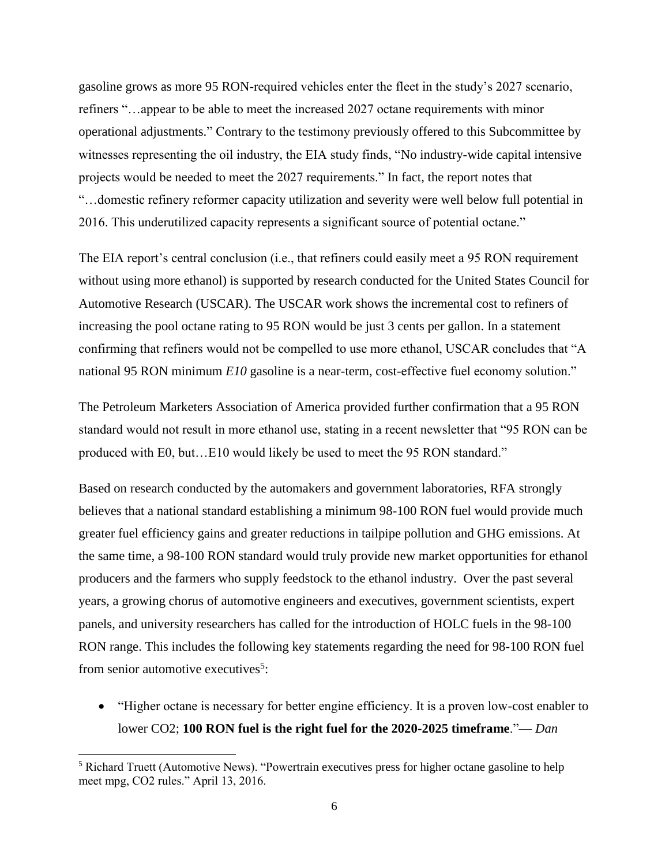gasoline grows as more 95 RON-required vehicles enter the fleet in the study's 2027 scenario, refiners "…appear to be able to meet the increased 2027 octane requirements with minor operational adjustments." Contrary to the testimony previously offered to this Subcommittee by witnesses representing the oil industry, the EIA study finds, "No industry-wide capital intensive projects would be needed to meet the 2027 requirements." In fact, the report notes that "…domestic refinery reformer capacity utilization and severity were well below full potential in 2016. This underutilized capacity represents a significant source of potential octane."

The EIA report's central conclusion (i.e., that refiners could easily meet a 95 RON requirement without using more ethanol) is supported by research conducted for the United States Council for Automotive Research (USCAR). The USCAR work shows the incremental cost to refiners of increasing the pool octane rating to 95 RON would be just 3 cents per gallon. In a statement confirming that refiners would not be compelled to use more ethanol, USCAR concludes that "A national 95 RON minimum *E10* gasoline is a near-term, cost-effective fuel economy solution."

The Petroleum Marketers Association of America provided further confirmation that a 95 RON standard would not result in more ethanol use, stating in a recent newsletter that "95 RON can be produced with E0, but…E10 would likely be used to meet the 95 RON standard."

Based on research conducted by the automakers and government laboratories, RFA strongly believes that a national standard establishing a minimum 98-100 RON fuel would provide much greater fuel efficiency gains and greater reductions in tailpipe pollution and GHG emissions. At the same time, a 98-100 RON standard would truly provide new market opportunities for ethanol producers and the farmers who supply feedstock to the ethanol industry. Over the past several years, a growing chorus of automotive engineers and executives, government scientists, expert panels, and university researchers has called for the introduction of HOLC fuels in the 98-100 RON range. This includes the following key statements regarding the need for 98-100 RON fuel from senior automotive executives<sup>5</sup>:

• "Higher octane is necessary for better engine efficiency. It is a proven low-cost enabler to lower CO2; **100 RON fuel is the right fuel for the 2020-2025 timeframe**."— *Dan*

 $\overline{a}$ 

<sup>&</sup>lt;sup>5</sup> Richard Truett (Automotive News). "Powertrain executives press for higher octane gasoline to help meet mpg, CO2 rules." April 13, 2016.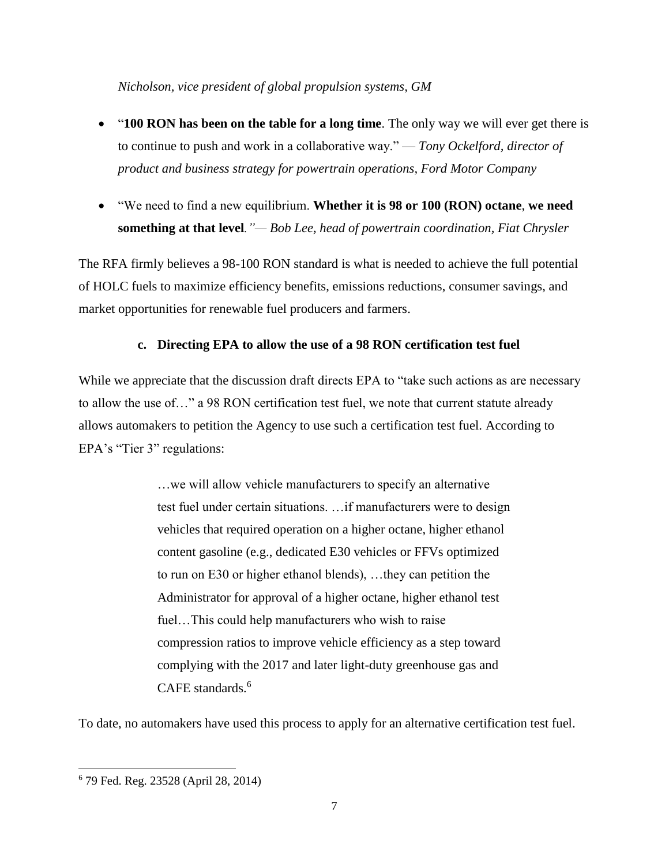*Nicholson, vice president of global propulsion systems, GM*

- "**100 RON has been on the table for a long time**. The only way we will ever get there is to continue to push and work in a collaborative way." — *Tony Ockelford, director of product and business strategy for powertrain operations, Ford Motor Company*
- "We need to find a new equilibrium. **Whether it is 98 or 100 (RON) octane**, **we need something at that level***."— Bob Lee, head of powertrain coordination, Fiat Chrysler*

The RFA firmly believes a 98-100 RON standard is what is needed to achieve the full potential of HOLC fuels to maximize efficiency benefits, emissions reductions, consumer savings, and market opportunities for renewable fuel producers and farmers.

### **c. Directing EPA to allow the use of a 98 RON certification test fuel**

While we appreciate that the discussion draft directs EPA to "take such actions as are necessary to allow the use of…" a 98 RON certification test fuel, we note that current statute already allows automakers to petition the Agency to use such a certification test fuel. According to EPA's "Tier 3" regulations:

> …we will allow vehicle manufacturers to specify an alternative test fuel under certain situations. …if manufacturers were to design vehicles that required operation on a higher octane, higher ethanol content gasoline (e.g., dedicated E30 vehicles or FFVs optimized to run on E30 or higher ethanol blends), …they can petition the Administrator for approval of a higher octane, higher ethanol test fuel…This could help manufacturers who wish to raise compression ratios to improve vehicle efficiency as a step toward complying with the 2017 and later light-duty greenhouse gas and CAFE standards.<sup>6</sup>

To date, no automakers have used this process to apply for an alternative certification test fuel.

l

<sup>6</sup> 79 Fed. Reg. 23528 (April 28, 2014)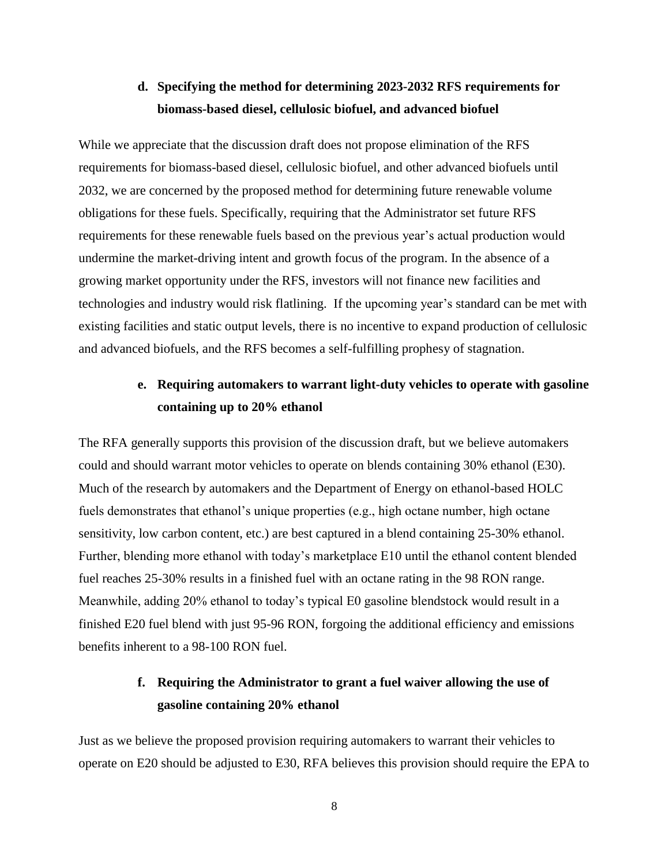## **d. Specifying the method for determining 2023-2032 RFS requirements for biomass-based diesel, cellulosic biofuel, and advanced biofuel**

While we appreciate that the discussion draft does not propose elimination of the RFS requirements for biomass-based diesel, cellulosic biofuel, and other advanced biofuels until 2032, we are concerned by the proposed method for determining future renewable volume obligations for these fuels. Specifically, requiring that the Administrator set future RFS requirements for these renewable fuels based on the previous year's actual production would undermine the market-driving intent and growth focus of the program. In the absence of a growing market opportunity under the RFS, investors will not finance new facilities and technologies and industry would risk flatlining. If the upcoming year's standard can be met with existing facilities and static output levels, there is no incentive to expand production of cellulosic and advanced biofuels, and the RFS becomes a self-fulfilling prophesy of stagnation.

## **e. Requiring automakers to warrant light-duty vehicles to operate with gasoline containing up to 20% ethanol**

The RFA generally supports this provision of the discussion draft, but we believe automakers could and should warrant motor vehicles to operate on blends containing 30% ethanol (E30). Much of the research by automakers and the Department of Energy on ethanol-based HOLC fuels demonstrates that ethanol's unique properties (e.g., high octane number, high octane sensitivity, low carbon content, etc.) are best captured in a blend containing 25-30% ethanol. Further, blending more ethanol with today's marketplace E10 until the ethanol content blended fuel reaches 25-30% results in a finished fuel with an octane rating in the 98 RON range. Meanwhile, adding 20% ethanol to today's typical E0 gasoline blendstock would result in a finished E20 fuel blend with just 95-96 RON, forgoing the additional efficiency and emissions benefits inherent to a 98-100 RON fuel.

## **f. Requiring the Administrator to grant a fuel waiver allowing the use of gasoline containing 20% ethanol**

Just as we believe the proposed provision requiring automakers to warrant their vehicles to operate on E20 should be adjusted to E30, RFA believes this provision should require the EPA to

8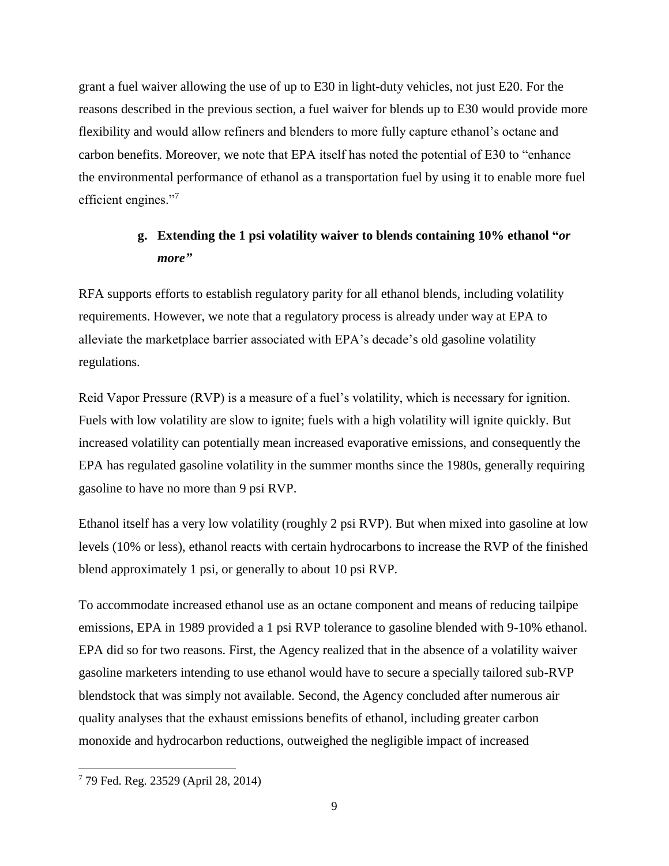grant a fuel waiver allowing the use of up to E30 in light-duty vehicles, not just E20. For the reasons described in the previous section, a fuel waiver for blends up to E30 would provide more flexibility and would allow refiners and blenders to more fully capture ethanol's octane and carbon benefits. Moreover, we note that EPA itself has noted the potential of E30 to "enhance the environmental performance of ethanol as a transportation fuel by using it to enable more fuel efficient engines."<sup>7</sup>

## **g. Extending the 1 psi volatility waiver to blends containing 10% ethanol "***or more"*

RFA supports efforts to establish regulatory parity for all ethanol blends, including volatility requirements. However, we note that a regulatory process is already under way at EPA to alleviate the marketplace barrier associated with EPA's decade's old gasoline volatility regulations.

Reid Vapor Pressure (RVP) is a measure of a fuel's volatility, which is necessary for ignition. Fuels with low volatility are slow to ignite; fuels with a high volatility will ignite quickly. But increased volatility can potentially mean increased evaporative emissions, and consequently the EPA has regulated gasoline volatility in the summer months since the 1980s, generally requiring gasoline to have no more than 9 psi RVP.

Ethanol itself has a very low volatility (roughly 2 psi RVP). But when mixed into gasoline at low levels (10% or less), ethanol reacts with certain hydrocarbons to increase the RVP of the finished blend approximately 1 psi, or generally to about 10 psi RVP.

To accommodate increased ethanol use as an octane component and means of reducing tailpipe emissions, EPA in 1989 provided a 1 psi RVP tolerance to gasoline blended with 9-10% ethanol. EPA did so for two reasons. First, the Agency realized that in the absence of a volatility waiver gasoline marketers intending to use ethanol would have to secure a specially tailored sub-RVP blendstock that was simply not available. Second, the Agency concluded after numerous air quality analyses that the exhaust emissions benefits of ethanol, including greater carbon monoxide and hydrocarbon reductions, outweighed the negligible impact of increased

l

<sup>7</sup> 79 Fed. Reg. 23529 (April 28, 2014)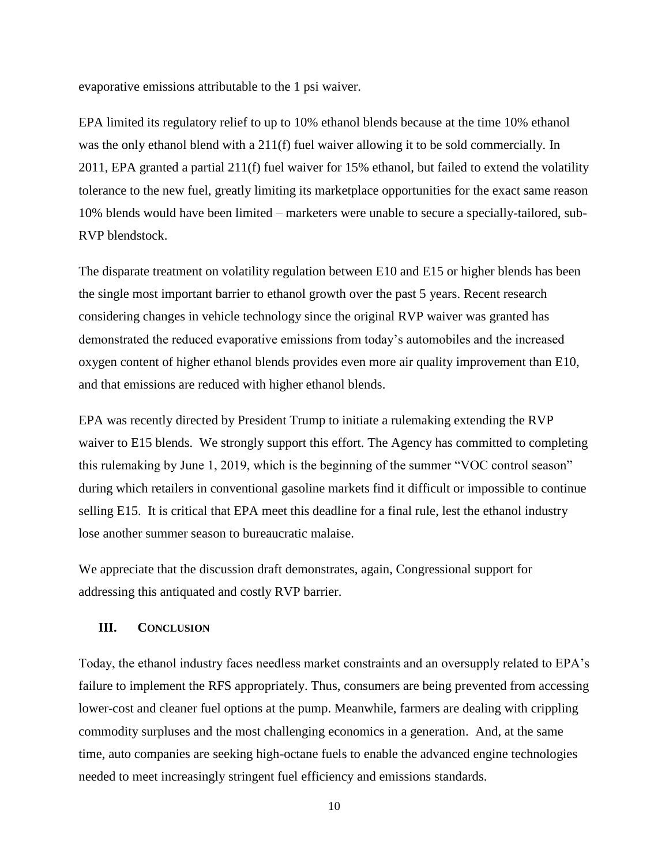evaporative emissions attributable to the 1 psi waiver.

EPA limited its regulatory relief to up to 10% ethanol blends because at the time 10% ethanol was the only ethanol blend with a 211(f) fuel waiver allowing it to be sold commercially. In 2011, EPA granted a partial 211(f) fuel waiver for 15% ethanol, but failed to extend the volatility tolerance to the new fuel, greatly limiting its marketplace opportunities for the exact same reason 10% blends would have been limited – marketers were unable to secure a specially-tailored, sub-RVP blendstock.

The disparate treatment on volatility regulation between E10 and E15 or higher blends has been the single most important barrier to ethanol growth over the past 5 years. Recent research considering changes in vehicle technology since the original RVP waiver was granted has demonstrated the reduced evaporative emissions from today's automobiles and the increased oxygen content of higher ethanol blends provides even more air quality improvement than E10, and that emissions are reduced with higher ethanol blends.

EPA was recently directed by President Trump to initiate a rulemaking extending the RVP waiver to E15 blends. We strongly support this effort. The Agency has committed to completing this rulemaking by June 1, 2019, which is the beginning of the summer "VOC control season" during which retailers in conventional gasoline markets find it difficult or impossible to continue selling E15. It is critical that EPA meet this deadline for a final rule, lest the ethanol industry lose another summer season to bureaucratic malaise.

We appreciate that the discussion draft demonstrates, again, Congressional support for addressing this antiquated and costly RVP barrier.

#### **III. CONCLUSION**

Today, the ethanol industry faces needless market constraints and an oversupply related to EPA's failure to implement the RFS appropriately. Thus, consumers are being prevented from accessing lower-cost and cleaner fuel options at the pump. Meanwhile, farmers are dealing with crippling commodity surpluses and the most challenging economics in a generation. And, at the same time, auto companies are seeking high-octane fuels to enable the advanced engine technologies needed to meet increasingly stringent fuel efficiency and emissions standards.

10